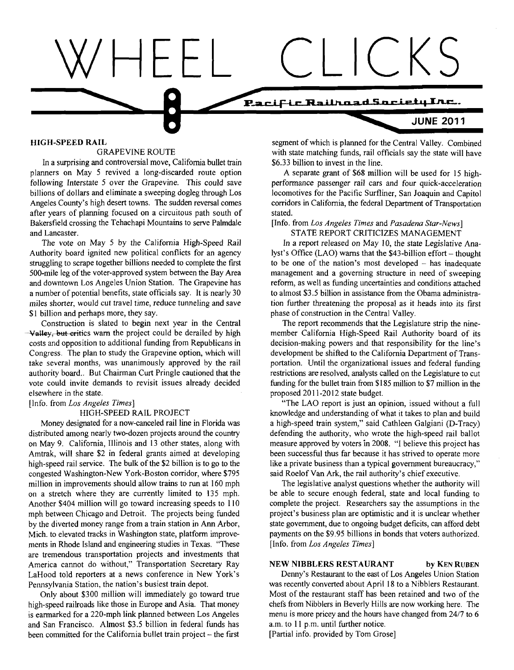

In a surprising and controversial move, California bullet train planners on May 5 revived a long-discarded route option a A separate grant of \$68 million will be used for 15 high-<br>
following Interstate 5 over the Grapevine. This could save performance passenger rail cars and four quick following Interstate 5 over the Grapevine. This could save performance passenger rail cars and four quick-acceleration<br>billions of dollars and eliminate a sweeping dogleg through Los locomotives for the Pacific Surfliner. billions of dollars and eliminate a sweeping dogleg through Los locomotives for the Pacific Surfliner, San Joaquin and Capitol<br>Angeles County's high desert towns. The sudden reversal comes corridors in California, the fede after years of planning focused on a circuitous path south of Bakersfield crossing the Tehachapi Mountains to serve Palmdale. and Lancaster.<br>STATE REPORT CRITICIZES MANAGEMENT<br>The vote on May 5 by the California High-Speed Rail In a report released on May 10, the state Legislative

Authority board ignited new political conflicts for an agency lyst's Office (LAO) warns that the \$43-billion effort – thought struggling to scrape together billions needed to complete the first to be one of the nation's mo struggling to scrape together billions needed to complete the first to be one of the nation's most developed – has inadequate<br>500-mile leg of the voter-approved system between the Bay Area management and a governing struct 500-mile leg of the voter-approved system between the Bay Area management and a governing structure in need of sweeping and downtown Los Angeles Union Station. The Grapevine has reform, as well as funding uncertainties and a number of potential benefits, state officials say. It is nearly 30 to almost \$3.5 billion in assistance from the Obama administramiles shorter, would cut travel time, reduce tunneling and save tion further threatening th \$1 billion and perhaps more, they say.<br> **Example 19 Construction in the Central Valley.**<br> **Example 19 Construction is slated to begin next year in the Central The report recommends that the Legislated in the Central The re** 

 $\rightarrow$ Valley, but eritics warn the project could be derailed by high member California High-Speed Rail Authority board of its<br>costs and opposition to additional funding from Republicans in decision-making powers and that re Congress. The plan to study the Grapevine option, which will development be shifted to the California Department of Trans-<br>take several months, was unanimously approved by the rail portation. Until the organizational issue authority board.. But Chairman Curt Pringle cautioned that the restrictions are resolved, analysts called on the Legislature to cut vote could invite demands to revisit issues already decided funding for the bullet train f vote could invite demands to revisit issues already decided funding for the bullet train from \$185 million to \$7 million in the elsewhere in the state.

distributed among nearly two-dozen projects around the country defending the authority, who wrote the high-speed rail ballot on May 9. California, Illinois and 13 other states, along with measure approved by voters in 2008. "I believe this project has Amtrak, will share \$2 in federal grants aimed at developing been successful thus far because it has strived to operate more high-speed rail service. The bulk of the \$2 billion is to go to the like a private business than a typical government bureaucracy," congested Washington-New York-Boston corridor, where \$795 said Roelof Van Ark, the rail authority's chief executive. million in improvements should allow trains to run at 160 mph The legislative analyst questions whether the authority will on a stretch where they are currently limited to 135 mph. be able to secure enough federal, state and local funding to Another \$404 million will go toward increasing speeds to 110 complete the project. Researchers say the assumptions in the rnph between Chicago and Detroit. The projects being funded project's business plan are optimistic and it is unclear whether by the diverted money range from a train station in **Ann** Arbor, state government, due to ongoing budget deficits, can afford debt Mich. to elevated tracks in Washington state, platform improve- payments on the \$9.95 billions in bonds that voters authorized. ments in Rhode Island and engineering studies in Texas. "These [Info. from *Los Angeles Times]* are tremendous transportation projects and investments that America cannot do without," Transportation Secretary Ray NEW NIBBLERS RESTAURANT **by** KEN RUBEN LaHood told reporters at a news conference in New York's Denny's Restaurant to the east of Los Angeles Union Station Pennsylvania Station, the nation's busiest train depot. was recently converted about April 18 to a Nibblers Restaurant.

high-speed railroads like those in Europe and Asia. That money chefs from Nibblers in Beverly Hills are now working here. The is earmarked for a 220-mph link planned between Los Angeles menu is more pricey and the hours have changed from 24/7 to 6 and San Francisco. Almost \$3.5 billion in federal funds has a.m. to 11 p.m. until further notice. been committed for the California bullet train project - the first [Partial info. provided by Tom Grose]

HIGH-SPEED RAIL SERVINE ROUTE SERVING SEGMENT SEGMENT SEGMENT SEGMENT SERVING ROUTE SERVING SERVING SERVING SE<br>segment of which is planned for the Central Valley. Combined SERVING ROUTE with state matching funds, rail officials say the state will have \$6.33 billion to invest in the line.

corridors in California, the federal Department of Transportation<br>stated.

Bakersfield crossing the Tehachapi Mountains to serve Palmdale [Info. from *Los Angeles Times* and *Pasadena Star-News]* 

The vote on May 5 by the California High-Speed Rail In a report released on May 10, the state Legislative Ana-<br>Authority board ignited new political conflicts for an agency lyst's Office (LAO) warns that the \$43-billion ef reform, as well as funding uncertainties and conditions attached tion further threatening the proposal as it heads into its first

> The report recommends that the Legislature strip the ninedecision-making powers and that responsibility for the line's portation. Until the organizational issues and federal funding proposed 2011-2012 state budget.

[Info. from *Los Angeles Times]* "The LAO report is just an opinion, issued without a full HIGH-SPEED RAIL PROJECT<br>Money designated for a now-canceled rail line in Florida was a high-speed train system," said Cathleen Galgiani (D-Tracy) a high-speed train system," said Cathleen Galgiani (D-Tracy)

Only about \$300 million will immediately go toward true Most of the restaurant staff has been retained and two of the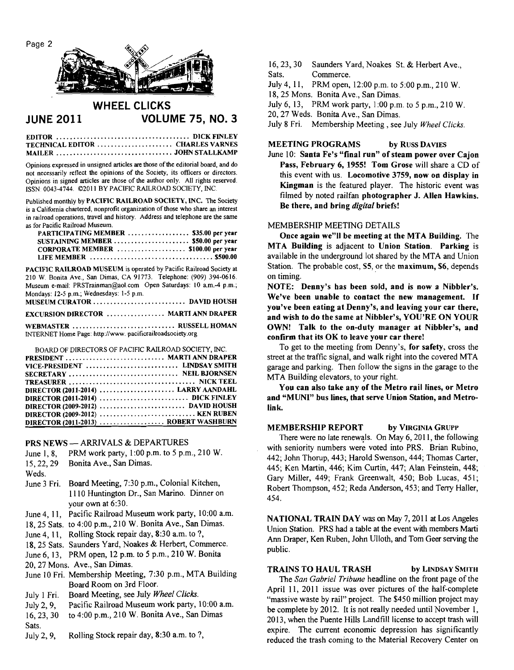

# **WHEEL CLICKS JUNE 2011 VOLUME 75, NO. 3**

| TECHNICAL EDITOR  CHARLES VARNES |  |
|----------------------------------|--|
|                                  |  |

Opinions expressed in unsigned articles are those of the editorial board, and do not necessarily reflect the opinions of the Society, its officers or directors. Opinions in signed articles are those of the author only. All rights reserved. ISSN- 0043-4744. 0201 1 BY PACIFIC RAILROAD SOCIETY, INC.

Published monthly by **PACIFIC RAILROAD SOCIETY, INC. The** Society is a California chartered, nonprofit organization of those who share an interest in railroad operations, travel and history. Address and telephone are the same as for Pacific Railroad Museum.

| $1011$ aville wall one manufactor      |  |
|----------------------------------------|--|
| PARTICIPATING MEMBER  \$35.00 per year |  |
| SUSTAINING MEMBER  \$50.00 per year    |  |
| CORPORATE MEMBER  \$100.00 per year    |  |
|                                        |  |

**PACIFlC RAILROAD MUSEUM** is operated by Pacific Railroad Society at 210 W. Bonita Ave., San Dimas, CA 91773. Telephone: (909) 394-0616. Museum e-mail: PRSTrainman@aol.com Open Saturdays: 10 a.m.-4 p.m.; Mondays: I2-5 p.m.; Wednesdays: 1-5 p.m.<br>MUSEUM CURATOR ............... **MUSEUM CURATOR** ........................... **DAVID HOUSH** 

| <u>MUNICIPAL CONSTRUCTION IN A LIGHT AND LIGHT AND LIGHT AND LIGHT AND LIGHT AND LIGHT AND LIGHT AND LIGHT AND LIG</u> |  |
|------------------------------------------------------------------------------------------------------------------------|--|
| <b>EXCURSION DIRECTOR  MARTI ANN DRAPER</b>                                                                            |  |

**WEBMASTER** .............................. **RUSSELL HOMAN** 

INTERNET Home Page: http://www. pacificrailroadsociety.org

| BOARD OF DIRECTORS OF PACIFIC RAILROAD SOCIETY, INC. |
|------------------------------------------------------|
| PRESIDENT  MARTI ANN DRAPER                          |
| VICE-PRESIDENT  LINDSAY SMITH                        |
|                                                      |
|                                                      |
| DIRECTOR (2011-2014)  LARRY AANDAHL                  |
|                                                      |
|                                                      |
|                                                      |
| DIRECTOR (2011-2013)  ROBERT WASHBURN                |

**PRS NEWS - ARRIVALS & DEPARTURES** 

| June $1, 8$ , | PRM work party, 1:00 p.m. to 5 p.m., 210 W. |  |  |
|---------------|---------------------------------------------|--|--|
|---------------|---------------------------------------------|--|--|

- 15,22,29 Bonita Ave., San Dimas.
- Weds.
- June 3 Fri. Board Meeting, 7:30 p.m., Colonial Kitchen, 1 1 10 Huntington Dr., San Marino. Dinner on your own at 6:30.
- June 4, 11, Pacific Railroad Museum work party, 10:OO a.m.
- 18,25 Sats. to 4:00 p.m., 210 W. Bonita Ave., **San** Dimas.
- June 4, 11, Rolling Stock repair day, 8:30 a.m. to ?,
- 18,25 Sats. Saunders Yard, Noakes & Herbert, Commerce.
- June 6,13, PRM open, 12 p.m. to 5 p.m., 2 10 W. Bonita
- 20,27 Mons. Ave., San Dimas.
- June 10 Fri. Membership Meeting, 7:30 p.m., MTA Building Board Room on 3rd Floor.
- July 1 Fri. Board Meeting, see July *Wheel Clicks.*
- July 2,9, Pacific Railroad Museum work party, 10:OO a.m.
- 16,23, 30 to 4:00 p.m., 210 W. Bonita Ave., San Dimas
- Sats.
- July 2, 9, Rolling Stock repair day, 8:30 a.m. to ?,
- 16, 23, 30 Saunders Yard, Noakes St. & Herbert Ave., Sats. Commerce.
- Commerce.
- July 4, 1 **1,** PRM open, 12:OO p.m. to 5:00 p.m., 210 W.
- 18,25 Mons. Bonita Ave., San Dimas.
- July 6, 13, PRM work party, 1:00 p.m. to 5 p.m., 210 W.

20,27 Weds. Bonita Ave., San Dimas.

July 8 Fri. Membership Meeting , see July *Wheel Clicks.* 

# **MEETING PROGRAMS** by RUSS DAVIES

June 10: **Santa Fe's "final run" of steam power over Cajon Pass, February 6, 1955! Tom Grose** will share a CD of this event with us. **Locomotive 3759, now on display in Kingman** is the featured player. The historic event was filmed by noted railfan **photographer** J. **Allen Hawkins. Be there, and bring digital briefs!** 

### MEMBERSHIP MEETING DETAILS

**Once again we"ll be meeting at the MTA Building.** The **MTA Building** is adjacent to **Union Station. Parking** is available in the underground lot shared by the MTA and Union Station. The probable cost, **\$5,** or the **maximum, \$6,** depends on timing.

**NOTE: Denny's has been sold, and is now a Nibbler's. We've been unable to contact the new management. If you've been eating at Denny's, and leaving your car there, and wish to do the same at Nibbler's, YOU'RE ON YOUR OWN! Talk to the on-duty manager at Nibbler's, and confirm that its OK to leave your car there!** 

To get to the meeting from Denny's, **for safety,** cross the street at the traffic signal, and walk right into the covered MTA garage and parking. Then follow the signs in the garage to the MTA Building elevators, to your right.

**You can also take any of the Metro rail lines, or Metro and "MUNI" bus lines, that serve Union Station, and Metrolink.** 

# **MEMBERSHIP REPORT by VIRGINIA GRUPP**

There were no late renewals. On May 6, 2011, the following with seniority numbers were voted into PRS. Brian Rubino, 442; John Thorup, 443; Harold Swenson, 444; Thomas Carter, 445; Ken Martin, 446; Kim Curtin, 447; Alan Feinstein, 448; Gary Miller, 449; Frank Greenwalt, 450; Bob Lucas, 451; Robert Thompson, 452; Reda Anderson, 453; and Terry Haller, 454.

**NATIONAL TRAIN DAY** was on May 7, 2011 at Los Angeles Union Station. PRS had a table at the event with members Marti **Ann** Draper, Ken Ruben, John Ulloth, and Tom Geer serving the public.

# **TRAINS TO HAUL TRASH by LINDSAY SMITH**

The *San Gabriel Tribune* headline on the front page of the April 11, 2011 issue was over pictures of the half-complete "massive waste by rail" project. The \$450 million project may be complete by 2012. It is not really needed until November 1, 2013, when the Puente Hills Landfill license to accept trash will expire. The current economic depression has significantly reduced the trash coming to the Material Recovery Center on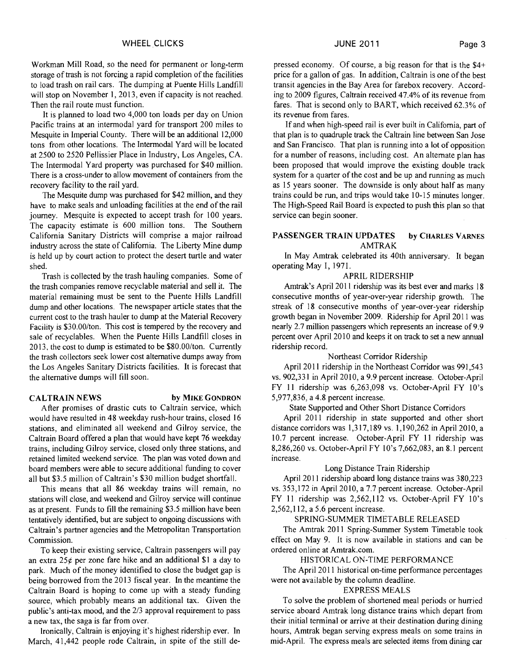Workman Mill Road, so the need for permanent or long-term storage of trash is not forcing a rapid completion of the facilities to load trash on rail cars. The dumping at Puente Hills Landfill will stop on November 1, 2013, even if capacity is not reached. Then the rail route must function.

It is planned to load two 4,000 ton loads per day on Union Pacific trains at an intermodal yard for transport 200 miles to Mesquite in Imperial County. There will be an additional 12,000 tons from other locations. The Intermodal Yard will be located at 2500 to 2520 Pellissier Place in Industry, Los Angeles, CA. The Intermodal Yard property was purchased for \$40 million. There is a cross-under to allow movement of containers from the recovery facility to the rail yard.

The Mesquite dump was purchased for \$42 million, and they have to make seals and unloading facilities at the end of the rail journey. Mesquite is expected to accept trash for 100 years. The capacity estimate is 600 million tons. The Southern California Sanitary Districts will comprise a major railroad industry across the state of California. The Liberty Mine dump is held up by court action to protect the desert turtle and water shed.

Trash is collected by the trash hauling companies. Some of the trash companies remove recyclable material and sell it. The material remaining must be sent to the Puente Hills Landfill dump and other locations. The newspaper article states that the current cost to the trash hauler to dump at the Material Recovery Facility is \$30.00/ton. This cost is tempered by the recovery and sale of recyclables. When the Puente Hills Landfill closes in 2013, the cost to dump is estimated to be \$80.00/ton. Currently the trash collectors seek lower cost alternative dumps away from the Los Angeles Sanitary Districts facilities. It is forecast that the alternative dumps will fill soon.

#### **CALTRAIN NEWS** by MIKE GONDRON

After promises of drastic cuts to Caltrain service, which would have resulted in 48 weekday rush-hour trains, closed 16 stations, and eliminated all weekend and Gilroy service, the Caltrain Board offered a plan that would have kept 76 weekday trains, including Gilroy service, closed only three stations, and retained limited weekend service. The plan was voted down and board members were able to secure additional funding to cover all but \$3.5 million of Caltrain's \$30 million budget shortfall.

This means that all 86 weekday trains will remain, no stations will close, and weekend and Gilroy service will continue as at present. Funds to fill the remaining \$3.5 million have been tentatively identified, but are subject to ongoing discussions with Caltrain's partner agencies and the Metropolitan Transportation Commission.

To keep their existing service, Caltrain passengers will pay an extra  $25¢$  per zone fare hike and an additional \$1 a day to park. Much of the money identified to close the budget gap is being borrowed from the 2013 fiscal year. In the meantime the Caltrain Board is hoping to come up with a steady funding source, which probably means an additional tax. Given the public's anti-tax mood, and the 213 approval requirement to pass a new tax, the saga is far from over.

Ironically, Caltrain is enjoying it's highest ridership ever. In March, 41,442 people rode Caltrain, in spite of the still de-

If and when high-speed rail is ever built in California, part of that plan is to quadruple track the Caltrain line between San Jose and San Francisco. That plan is running into a lot of opposition for a number of reasons, including cost. An alternate plan has been proposed that would improve the existing double track system for a quarter of the cost and be up and running as much as 15 years sooner. The downside is only about half as many trains could be run, and trips would take 10-15 minutes longer. The High-Speed Rail Board is expected to push this plan so that service can begin sooner.

### **PASSENGER TRAIN UPDATES by CHARLES VARNES**  AMTRAK

In May Amtrak celebrated its 40th anniversary. It began operating May I, 1971.

# APRIL RIDERSHIP

Amtrak's April 2011 ridership was its best ever and marks 18 consecutive months of year-over-year ridership growth. The streak of 18 consecutive months of year-over-year ridership growth began in November 2009. Ridership for April 2011 was nearly 2.7 million passengers which represents an increase of 9.9 percent over April 20 10 and keeps it on track to set a new annual ridership record.

### Northeast Corridor Ridership

April 2011 ridership in the Northeast Corridor was 991,543 vs. 902,331 in April 2010, a 9.9 percent increase. October-April FY 11 ridership was 6,263,098 vs. October-April FY 10's 5,977,836, a 4.8 percent increase.

State Supported and Other Short Distance Corridors

April 2011 ridership in state supported and other short distance corridors was 1,317,189 vs. 1,190,262 in April 2010, a 10.7 percent increase. October-April FY 11 ridership was 8,286,260 vs. October-April FY lo's 7,662,083, an 8.1 percent increase.

# Long Distance Train Ridership

April 2011 ridership aboard long distance trains was 380,223 vs. 353,172 in April 2010, a 7.7 percent increase. October-April FY 11 ridership was 2,562,112 vs. October-April FY 10's 2,562,112, a 5.6 percent increase.

### SPRING-SUMMER TIMETABLE RELEASED

The Amtrak 2011 Spring-Summer System Timetable took effect on May 9. It is now available in stations and can be ordered online at Amtrak.com.

#### HISTORICAL ON-TIME PERFORMANCE

The April 2011 historical on-time performance percentages were not available by the column deadline.

### EXPRESS MEALS

To solve the problem of shortened meal periods or hurried service aboard Amtrak long distance trains which depart from their initial terminal or arrive at their destination during dining hours, Amtrak began serving express meals on some trains in mid-April. The express meals are selected items from dining car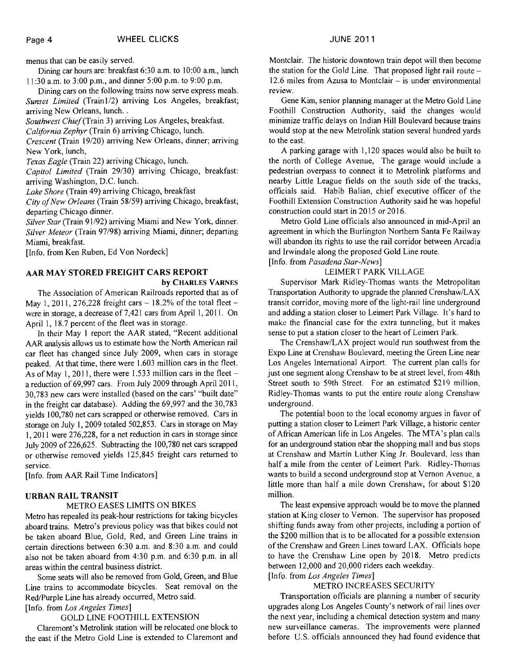menus that can be easily served.

Dining car hours are: breakfast 6:30 a.m. to 10:OO a.m., lunch 11:30 a.m. to 3:00 p.m., and dinner 5:00 p.m. to 9:00 p.m.

Dining cars on the following trains now serve express meals. *Sunset Limited* (Train1/2) arriving Los Angeles, breakfast; arriving New Orleans, lunch. .

*Southwest Chief* (Train 3) arriving Los Angeles, breakfast.

*California Zephyr* (Train 6) arriving Chicago, lunch.

*Crescent* (Train 19/20) arriving New Orleans, dinner; arriving New York, lunch,

*Texas Eagle* (Train 22) arriving Chicago, lunch.

*Capitol Limited* (Train 29/30) arriving Chicago, breakfast: arriving Washington, D.C. lunch.

*Lake Shore* (Train 49) arriving Chicago, breakfast

*City ofNew Orleans* (Train 58/59) arriving Chicago, breakfast; departing Chicago dinner.

*Silver Star* (Train 9 1/92) arriving Miami and New York, dinner. *Silver Meteor* (Train 97/98) arriving Miami, dinner; departing Miami, breakfast.

[Info. from Ken Ruben, Ed Von Nordeck]

# **AAR MAY STORED FREIGHT CARS REPORT**

**by CHARLES VARNES** 

The Association of American Railroads reported that as of May 1, 2011, 276,228 freight cars  $-18.2\%$  of the total fleet  $$ were in storage, a decrease of 7,421 cars from April 1, 2011. On April 1, 18.7 percent of the fleet was in storage.

In their May 1 report the AAR stated, "Recent additional **AAR** analysis allows us to estimate how the North American rail car fleet has changed since July 2009, when cars in storage peaked. At that time, there were 1.603 million cars in the fleet. As of May 1, 2011, there were 1.533 million cars in the fleet  $$ a reduction of 69,997 cars. From July 2009 through April 201 1, 30,783 new cars were installed (based on the cars' "built date" in the freight car database). Adding the 69,997 and the 30,783 yields 100,780 net cars scrapped or otherwise removed. Cars in storage on July 1,2009 totaled 502,853. Cars in storage on May 1,201 1 were 276,228, for a net reduction in cars in storage since July 2009 of 226,625. Subtracting the 100,780 net cars scrapped or otherwise removed yields 125,845 freight cars returned to service.

[Info. from AAR Rail Time Indicators]

# **URBAN RAIL TRANSIT**

# METRO EASES LIMITS ON BIKES

Metro has repealed its peak-hour restrictions for taking bicycles aboard trains. Metro's previous policy was that bikes could not be taken aboard Blue, Gold, Red, and Green Line trains in certain directions between 6:30 a.m. and 8:30 a.m. and could also not be taken aboard from 4:30 p.m. and 6:30 p.m. in all areas within the central business district.

Some seats will also be removed from Gold, Green, and Blue Line trains to accommodate bicycles. Seat removal on the Red/Purple Line has already occurred, Metro said.

[Info. from *Los Angeles Times]* 

# GOLD LINE FOOTHILL EXTENSION

Claremont's Metrolink station will be relocated one block to the east if the Metro Gold Line is extended to Claremont and Montclair. The historic downtown train depot will then become the station for the Gold Line. That proposed light rail route  $12.6$  miles from Azusa to Montclair – is under environmental review.

Gene Kim, senior planning manager at the Metro Gold Line Foothill Construction Authority, said the changes would minimize traffic delays on Indian Hill Boulevard because trains would stop at the new Metrolink station several hundred yards to the east.

A parking garage with 1,120 spaces would also be built to the north of College Avenue, The garage would include a pedestrian overpass to connect it to Metrolink platforms and nearby Little League fields on the south side of the tracks, officials said. Habib Balian, chief executive officer of the Foothill Extension Construction Authority said he was hopeful construction could start in 20 15 or 20 16.

Metro Gold Line officials also announced in mid-April an agreement in which the Burlington Northern Santa Fe Railway will abandon its rights to use the rail corridor between Arcadia and Irwindale along the proposed Gold Line route. [Info. from *Pasadena Star-News]* 

# LEIMERT PARK VILLAGE

Supervisor Mark Ridley-Thomas wants the Metropolitan Transportation Authority to upgrade the planned Crenshaw/LAX transit corridor, moving more of the light-rail line underground and adding a station closer to Leimert Park Village. It's hard to make the financial case for the extra tunneling, but it makes sense to put a station closer to the heart of Leimert Park.

The Crenshaw/LAX project would run southwest from the Expo Line at Crenshaw Boulevard, meeting the Green Line near Los Angeles International Airport. The current plan calls for just one segment along Crenshaw to be at street level, from 48th Street south to 59th Street. For an estimated \$219 million, Ridley-Thomas wants to put the entire route along Crenshaw underground.

The potential boon to the local economy argues in favor of putting a station closer to Leimert Park Village, a historic center of African American life in Los Angeles. The MTA's plan calls for an underground station near the shopping mall and bus stops at Crenshaw and Martin Luther King Jr. Boulevard, less than half a mile from the center of Leimert Park. Ridley-Thomas wants to build a second underground stop at Vernon Avenue, a little more than half a mile down Crenshaw, for about \$120 million.

The least expensive approach would be to move the planned station at King closer to Vernon. The supervisor has proposed shifting funds away from other projects, including a portion of the \$200 million that is to be allocated for a possible extension of the Crenshaw and Green Lines toward LAX. Officials hope to have the Crenshaw Line open by 2018. Metro predicts between 12,000 and 20,000 riders each weekday.

# [Info. from *Los Angeles Times]*

### METRO INCREASES SECURITY

Transportation officials are planning a number of security upgrades along Los Angeles County's network of rail lines over the next year, including a chemical detection system and many new surveillance cameras. The improvements were planned before U.S. officials announced they had found evidence that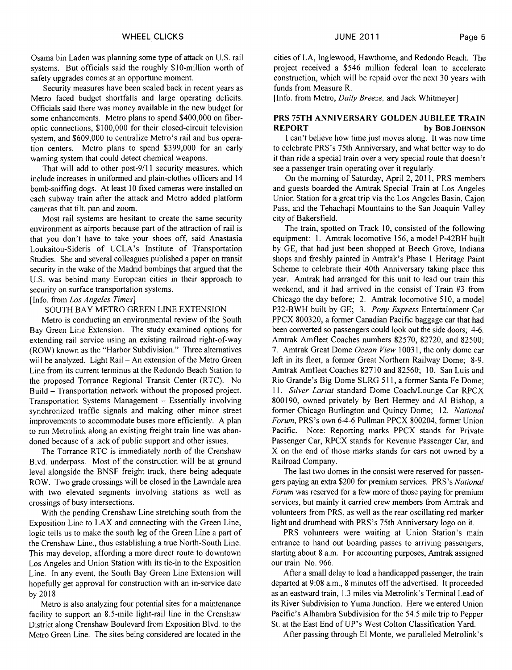Osama bin Laden was planning some type of attack on U.S. rail systems. But officials said the roughly \$10-million worth of safety upgrades comes at an opportune moment.

Security measures have been scaled back in recent years as Metro faced budget shortfalls and large operating deficits. Officials said there was money available in the new budget for some enhancements. Metro plans to spend \$400,000 on fiberoptic connections, \$100,000 for their closed-circuit television system, and \$609,000 to centralize Metro's rail and bus operation centers. Metro plans to spend \$399,000 for an early warning system that could detect chemical weapons.

That will add to other post-9/11 security measures. which include increases in uniformed and plain-clothes officers and 14 bomb-sniffmg dogs. At least 10 fixed cameras were installed on each subway train after the attack and Metro added platform cameras that tilt, pan and zoom.

Most rail systems are hesitant to create the same security environment as airports because part of the attraction of rail is that you don't have to take your shoes off, said Anastasia Loukaitou-Sideris of UCLA's Institute of Transportation Studies. She and several colleagues published a paper on transit security in the wake of the Madrid bombings that argued that the U.S. was behind many European cities in their approach to security on surface transportation systems.

[Info. from *Los Angeles Times]* 

SOUTH BAY METRO GREEN LINE EXTENSION

Metro is conducting an environmental review of the South Bay Green Line Extension. The study examined options for extending rail service using an existing railroad right-of-way (ROW) known as the "Harbor Subdivision." Three alternatives will be analyzed. Light Rail - An extension of the Metro Green Line from its current terminus at the Redondo Beach Station to the proposed Torrance Regional Transit Center (RTC). No Build - Transportation network without the proposed project. Transportation Systems Management - Essentially involving synchronized traffic signals and making other minor street improvements to accommodate buses more efficiently. A plan to run Metrolink along an existing freight train line was abandoned because of a lack of public support and other issues.

The Torrance RTC is immediately north of the Crenshaw Blvd. underpass. Most of the construction will be at ground level alongside the BNSF freight track, there being adequate ROW. Two grade crossings will be closed in the Lawndale area with two elevated segments involving stations as well as crossings of busy intersections.

With the pending Crenshaw Line stretching south from the Exposition Line to LAX and connecting with the Green Line, logic tells us to make the south leg of the Green Line a part of the Crenshaw Line., thus establishing a true North-South Line. This may develop, affording a more direct route to downtown Los Angeles and Union Station with its tie-in to the Exposition Line. In any event, the South Bay Green Line Extension will hopefully get approval for construction with an in-service date by 2018

Metro is also analyzing four potential sites for a maintenance facility to support an 8.5-mile light-rail line in the Crenshaw District along Crenshaw Boulevard from Exposition Blvd. to the Metro Green Line. The sites being considered are located in the

cities of LA, Inglewood, Hawthorne, and Redondo Beach. The project received a \$546 million federal loan to accelerate construction, which will be repaid over the next 30 years with funds from Measure R.

[Info. from Metro, *Daily Breeze,* and Jack Whitmeyer]

# **PRS 75TH ANNIVERSARY GOLDEN JUBILEE TRAIN REPORT** by BOB JOHNSON

I can't believe how time just moves along. It was now time to celebrate PRS's 75th Anniversary, and what better way to do it than ride a special train over a very special route that doesn't see a passenger train operating over it regularly.

On the morning of Saturday, April 2, 2011, PRS members and guests boarded the Amtrak Special Train at Los Angeles Union Station for a great trip via the Los Angeles Basin, Cajon Pass, and the Tehachapi Mountains to the San Joaquin Valley city of Bakersfield.

The train, spotted on Track 10, consisted of the following equipment: 1. Amtrak locomotive 156, a model P-42BH built by GE, that had just been shopped at Beech Grove, Indiana shops and freshly painted in Amtrak's Phase 1 Heritage Paint Scheme to celebrate their 40th Anniversary taking place this year. Amtrak had arranged for this unit to lead our train this weekend, and it had arrived in the consist of Train #3 from Chicago the day before; 2. Amtrak locomotive 510, a model P32-BWH built by GE; 3. *Pony Express* Entertainment Car PPCX 800320, a former Canadian Pacific baggage car that had been converted so passengers could look out the side doors; 4-6. Amtrak Amfleet Coaches numbers 82570, 82720, and 82500; 7. Amtrak Great Dome *Ocean View* 1003 1, the only dome car left in its fleet, a former Great Northern Railway Dome; 8-9. Amtrak Amfleet Coaches 82710 and 82560; 10. San Luis and Rio Grande's Big Dome SLRG 5 1 1, a former Santa Fe Dome; 11. Silver Lariat standard Dome Coach/Lounge Car RPCX 800190, owned privately by Bert Hermey and A1 Bishop, a former Chicago Burlington and Quincy Dome; 12. *National Forum,* PRS's own 6-4-6 Pullman PPCX 800204, former Union Pacific. Note: Reporting marks PPCX stands for Private Passenger Car, RPCX stands for Revenue Passenger Car, and X on the end of those marks stands for cars not owned by a Railroad Company.

The last two domes in the consist were reserved for passengers paying an extra \$200 for premium services. PRS's *National Forum* was reserved for a few more of those paying for premium services, but mainly it carried crew members from Amtrak and volunteers from PRS, as well as the rear oscillating red marker light and drumhead with PRS's 75th Anniversary logo on it.

PRS volunteers were waiting at Union Station's main entrance to hand out boarding passes to arriving passengers, starting about 8 a.m. For accounting purposes, Amtrak assigned our train No. 966.

After a small delay to load a handicapped passenger, the train departed at 9:08 a.m., 8 minutes off the advertised. It proceeded as an eastward train, 1.3 miles via Metrolink's Terminal Lead of its River Subdivision to Yuma Junction. Here we entered Union Pacific's Alhambra Subdivision for the 54.5 mile trip to Pepper St. at the East End of UP'S West Colton Classification Yard.

After passing through El Monte, we paralleled Metrolink's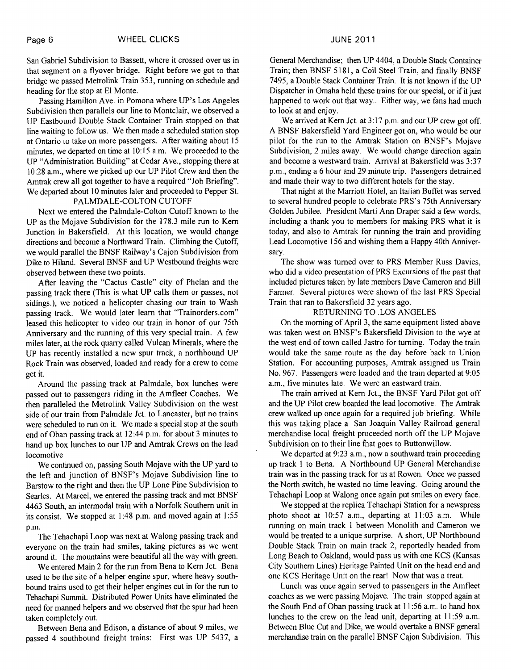San Gabriel Subdivision to Bassett, where it crossed over us in that segment on a flyover bridge. Right before we got to that bridge we passed Metrolink Train 353, running on schedule and heading for the stop at El Monte.

Passing Hamilton Ave. in Pomona where UP'S Los Angeles Subdivision then parallels our line to Montclair, we observed a UP Eastbound Double Stack Container Train stopped on that line waiting to follow us. We then made a scheduled station stop at Ontario to take on more passengers. After waiting about 15 minutes, we departed on time at 10:15 a.m. We proceeded to the UP "Administration Building" at Cedar Ave., stopping there at 10:28 a.m., where we picked up our UP Pilot Crew and then the Amtrak crew all got together to have a required "Job Briefing". We departed about 10 minutes later and proceeded to Pepper St.

# PALMDALE-COLTON CUTOFF

Next we entered the Palmdale-Colton Cutoff known to the UP as the Mojave Subdivision for the 178.3 mile run to Kern Junction in Bakersfield. At this location, we would change directions and become a Northward Train. Climbing the Cutoff, we would parallel the BNSF Railway's Cajon Subdivision from Dike to Hiland. Several BNSF and UP Westbound freights were observed between these two points.

After leaving the "Cactus Castle" city of Phelan and the passing track there (This is what UP calls them or passes, not sidings.), we noticed a helicopter chasing our train to Wash passing track. We would later learn that "Trainorders.com" leased this helicopter to video our train in honor of our 75th Anniversary and the running of this very special train. A few miles later, at the rock quarry called Vulcan Minerals, where the UP has recently installed a new spur track, a northbound UP Rock Train was observed, loaded and ready for a crew to come get it.

Around the passing track at Palmdale, box lunches were passed out to passengers riding in the Amfleet Coaches. We then paralleled the Metrolink Valley Subdivision on the west side of our train from Palmdale Jct. to Lancaster, but no trains were scheduled to run on it. We made a special stop at the south end of Oban passing track at 12:44 p.m. for about 3 minutes to hand up box lunches to our UP and Amtrak Crews on the lead locomotive

We continued on, passing South Mojave with the UP yard to the left and junction of BNSF's Mojave Subdivision line to Barstow to the right and then the UP Lone Pine Subdivision to Searles. At Marcel, we entered the passing track and met BNSF 4463 South, an intermodal train with a Norfolk Southern unit in its consist. We stopped at 1.48 p.m. and moved again at 1 :55 p.m.

The Tehachapi Loop was next at Walong passing track and everyone on the train had smiles, taking pictures as we went around it. The mountains were beautiful all the way with green.

We entered Main 2 for the run from Bena to Kern Jct. Bena used to be the site of a helper engine spur, where heavy southbound trains used to get their helper engines cut in for the run to Tehachapi Summit. Distributed Power Units have eliminated the need for manned helpers and we observed that the spur had been taken completely out.

Between Bena and Edison, a distance of about 9 miles, we passed 4 southbound freight trains: First was UP 5437, a

General Merchandise; then UP 4404, a Double Stack Container Train; then BNSF 5181, a Coil Steel Train, and finally BNSF 7495, a Double Stack Container Train. It is not known if the UP Dispatcher in Omaha held these trains for our special, or if it just happened to work out that way.. Either way, we fans had much to look at and enjoy.

We arrived at Kern Jct. at  $3:17$  p.m. and our UP crew got off. A BNSF Bakersfield Yard Engineer got on, who would be our pilot for the run to the Amtrak Station on BNSF's Mojave Subdivision, 2 miles away. We would change direction again and become a westward train. Arrival at Bakersfield was 3:37 p.m., ending a 6 hour and 29 minute trip. Passengers detrained and made their way to two different hotels for the stay.

That night at the Marriott Hotel, an Italian Buffet was served to several hundred people to celebrate PRS's 75th Anniversary Golden Jubilee. President Marti Ann Draper said a few words, including a thank you to members for making PRS what it is today, and also to Amtrak for running the train and providing Lead Locomotive 156 and wishing them a Happy 40th Anniversary.

The show was turned over to PRS Member Russ Davies, who did a video presentation of PRS Excursions of the past that included pictures taken by late members Dave Cameron and Bill Farmer. Several pictures were shown of the last PRS Special Train that ran to Bakersfield 32 years ago.

### RETURNING TO .LOS ANGELES

On the morning of April 3, the same equipment listed above was taken west on BNSF's Bakersfield Division to the wye at the west end of town called Jastro for turning. Today the train would take the same route as the day before back to Union Station. For accounting purposes, Amtrak assigned us Train No. 967. Passengers were loaded and the train departed at 9:05 a.m., five minutes late. We were an eastward train.

The train arrived at Kern Jct., the BNSF Yard Pilot got off and the UP Pilot crew boarded the lead locomotive. The Amtrak crew walked up once again for a required job briefing. While this was taking place a San Joaquin Valley Railroad general merchandise local freight proceeded north off the UP Mojave Subdivision on to their line that goes to Buttonwillow.

We departed at 9:23 a.m., now a southward train proceeding up track 1 to Bena. A Northbound UP General Merchandise train was in the passing track for us at Rowen. Once we passed the North switch, he wasted no time leaving. Going around the Tehachapi Loop at Walong once again put smiles on every face.

We stopped at the replica Tehachapi Station for a newspress photo shoot at  $10:57$  a.m., departing at  $11:03$  a.m. While running on main track 1 between Monolith and Cameron we would be treated to a unique surprise. A short, UP Northbound Double Stack Train on main track 2, reportedly headed from Long Beach to Oakland, would pass us with one KCS (Kansas City Southern Lines) Heritage Painted Unit on the head end and one KCS Heritage Unit on the rear! Now that was a treat.

Lunch was once again served to passengers in the Amfleet coaches as we were passing Mojave. The train stopped again at the South End of Oban passing track at 11:56 a.m. to hand box lunches to the crew on the lead unit, departing at 11:59 a.m. Between Blue Cut and Dike, we would overtake a BNSF general merchandise train on the parallel BNSF Cajon Subdivision. This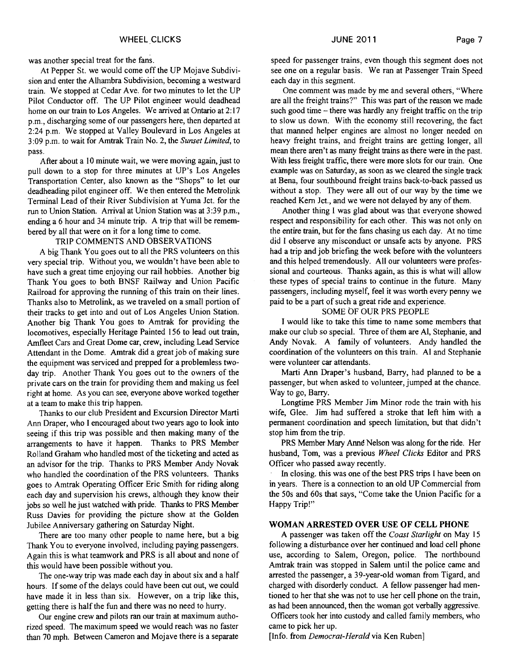was another special treat for the fans.

At Pepper St. we would come off the UP Mojave Subdivision and enter the Alhambra Subdivision, becoming a westward train. We stopped at Cedar Ave. for two minutes to let the UP Pilot Conductor off. The UP Pilot engineer would deadhead home on our train to Los Angeles. We arrived at Ontario at 2: 17 p.m., discharging some of our passengers here, then departed at 2:24 p.m. We stopped at Valley Boulevard in Los Angeles at 3.09 p.m. to wait for Amtrak Train No. 2, the Sunset Limited, to pass.

After about a 10 minute wait, we were moving again, just to pull down to a stop for three minutes at UP'S Los Angeles Transportation Center, also known as the "Shops" to let our deadheading pilot engineer off. We then entered the Metrolink Terminal Lead of their River Subdivision at Yuma Jct. for the run to Union Station. Arrival at Union Station was at 3:39 p.m., ending a 6 hour and 34 minute trip. A trip that will be remembered by all that were on it for a long time to come.

### TRIP COMMENTS AND OBSERVATIONS

A big Thank You goes out to all the PRS volunteers on this very special trip. Without you, we wouldn't have been able to have such a great time enjoying our rail hobbies. Another big Thank You goes to both BNSF Railway and Union Pacific Railroad for approving the running of this train on their lines. Thanks also to Metrolink, as we traveled on a small portion of their tracks to get into and out of Los Angeles Union Station. Another big Thank You goes to Amtrak for providing the locomotives, especially Heritage Painted 156 to lead out **train,**  Amfleet Cars and Great Dome car, crew, including Lead Service Attendant in the Dome. Amtrak did a great job of making sure the equipment was serviced and prepped for a problemless twoday trip. Another Thank You goes out to the owners of the private cars on the train for providing them and making us feel right at home. As you can see, everyone above worked together at a team to make this trip happen.

Thanks to our club President and Excursion Director Marti Ann Draper, who I encouraged about two years ago to look into seeing if this trip was possible and then making many of the arrangements to have it happen. Thanks to PRS Member Rolland Graham who handled most of the ticketing and acted as an advisor for the trip. Thanks to PRS Member Andy Novak who handled the coordination of the PRS volunteers. Thanks goes to Amtrak Operating Officer Eric Smith for riding along each day and supervision his crews, although they know their jobs so well he just watched with pride. Thanks to PRS Member Russ Davies for providing the picture show at the Golden Jubilee Anniversary gathering on Saturday Night.

There are too many other people to name here, but a big Thank You to everyone involved, including paying passengers. Again this is what teamwork and PRS is all about and none of this would have been possible without you.

The one-way trip was made each day in about six and a half hours. If some of the delays could have been cut out, we could have made it in less than six. However, on a trip like this, getting there is half the fun and there was no need to hurry.

Our engine crew and pilots ran our train at maximum authorized speed. The maximum speed we would reach was no faster than 70 mph. Between Cameron and Mojave there is a separate speed for passenger trains, even though this segment does not see one on a regular basis. We ran at Passenger Train Speed each day in this segment.

One comment was made by me and several others, "Where are all the freight trains?" This was part of the reason we made such good time  $-$  there was hardly any freight traffic on the trip to slow us down. With the economy still recovering, the fact that manned helper engines are almost no longer needed on heavy freight trains, and freight trains are getting longer, all mean there aren't as many freight trains as there were in the past. With less freight traffic, there were more slots for our train. One example was on Saturday, as soon as we cleared the single track at Bena, four southbound freight trains back-to-back passed us without a stop. They were all out of our way by the time we reached Kern Jct., and we were not delayed by any of them.

Another thing I was glad about was that everyone showed respect and responsibility for each other. This was not only on the entire train, but for the fans chasing us each day. At no time did I observe any misconduct or unsafe acts by anyone. PRS had a trip and job briefing the week before with the volunteers and this helped tremendously. All our volunteers were professional and courteous. Thanks again, as this is what will allow these types of special trains to continue in the future. Many passengers, including myself, feel it was worth every penny we paid to be a part of such a great ride and experience.

## SOME OF OUR PRS PEOPLE

I would like to take this time to name some members that make our club so special. Three of them are Al, Stephanie, and Andy Novak. A family of volunteers. Andy handled the coordination of the volunteers on this train. A1 and Stephanie were volunteer car attendants.

Marti **Ann** Draper's husband, Barry, had planned to be a passenger, but when asked to volunteer, jumped at the chance. Way to go, Barry.

Longtime PRS Member Jim Minor rode the train with his wife, Glee. Jim had suffered a stroke that left him with a permanent coordination and speech limitation, but that didn't stop him from the trip.

PRS Member Mary **Anne** Nelson was along for the ride. Her husband, Tom, was a previous Wheel Clicks Editor and PRS Officer who passed away recently.

In closing. this was one of the best PRS trips I have been on in years. There is a connection to an old UP Commercial from the 50s and 60s that says, "Come take the Union Pacific for a Happy Trip!"

### **WOMAN ARRESTED OVER USE OF CELL PHONE**

A passenger was taken off the Coast Starlight on May 15 following a disturbance over her continued and load cell phone use, according to Salem, Oregon, police. The northbound Amtrak train was stopped in Salem until the police came and arrested the passenger, a 39-year-old woman from Tigard, and charged with disorderly conduct. A fellow passenger had mentioned to her that she was not to use her cell phone on the train, as had been announced, then the woman got verbally aggressive. Officers took her into custody and called family members, who came to pick her up.

[Info. from *Democrat-Herald* via Ken Ruben]